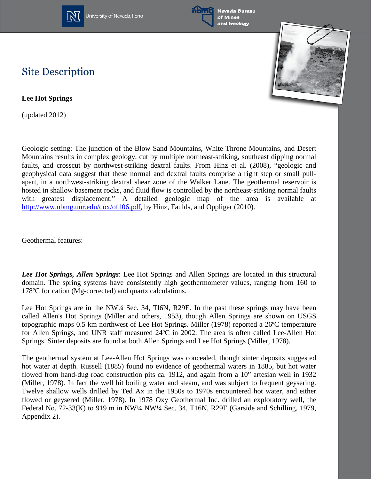

University of Nevada, Reno





## **Site Description**

**Lee Hot Springs**

(updated 2012)

Geologic setting: The junction of the Blow Sand Mountains, White Throne Mountains, and Desert Mountains results in complex geology, cut by multiple northeast-striking, southeast dipping normal faults, and crosscut by northwest-striking dextral faults. From Hinz et al. (2008), "geologic and geophysical data suggest that these normal and dextral faults comprise a right step or small pullapart, in a northwest-striking dextral shear zone of the Walker Lane. The geothermal reservoir is hosted in shallow basement rocks, and fluid flow is controlled by the northeast-striking normal faults with greatest displacement." A detailed geologic map of the area is available at [http://www.nbmg.unr.edu/dox/of106.pdf,](http://www.nbmg.unr.edu/dox/of106.pdf) by Hinz, Faulds, and Oppliger (2010).

Geothermal features:

*Lee Hot Springs, Allen Springs*: Lee Hot Springs and Allen Springs are located in this structural domain. The spring systems have consistently high geothermometer values, ranging from 160 to 178ºC for cation (Mg-corrected) and quartz calculations.

Lee Hot Springs are in the NW¼ Sec. 34, Tl6N, R29E. In the past these springs may have been called Allen's Hot Springs (Miller and others, 1953), though Allen Springs are shown on USGS topographic maps 0.5 km northwest of Lee Hot Springs. Miller (1978) reported a 26ºC temperature for Allen Springs, and UNR staff measured 24ºC in 2002. The area is often called Lee-Allen Hot Springs. Sinter deposits are found at both Allen Springs and Lee Hot Springs (Miller, 1978).

The geothermal system at Lee-Allen Hot Springs was concealed, though sinter deposits suggested hot water at depth. Russell (1885) found no evidence of geothermal waters in 1885, but hot water flowed from hand-dug road construction pits ca. 1912, and again from a 10" artesian well in 1932 (Miller, 1978). In fact the well hit boiling water and steam, and was subject to frequent geysering. Twelve shallow wells drilled by Ted Ax in the 1950s to 1970s encountered hot water, and either flowed or geysered (Miller, 1978). In 1978 Oxy Geothermal Inc. drilled an exploratory well, the Federal No. 72-33(K) to 919 m in NW¼ NW¼ Sec. 34, T16N, R29E (Garside and Schilling, 1979, Appendix 2).